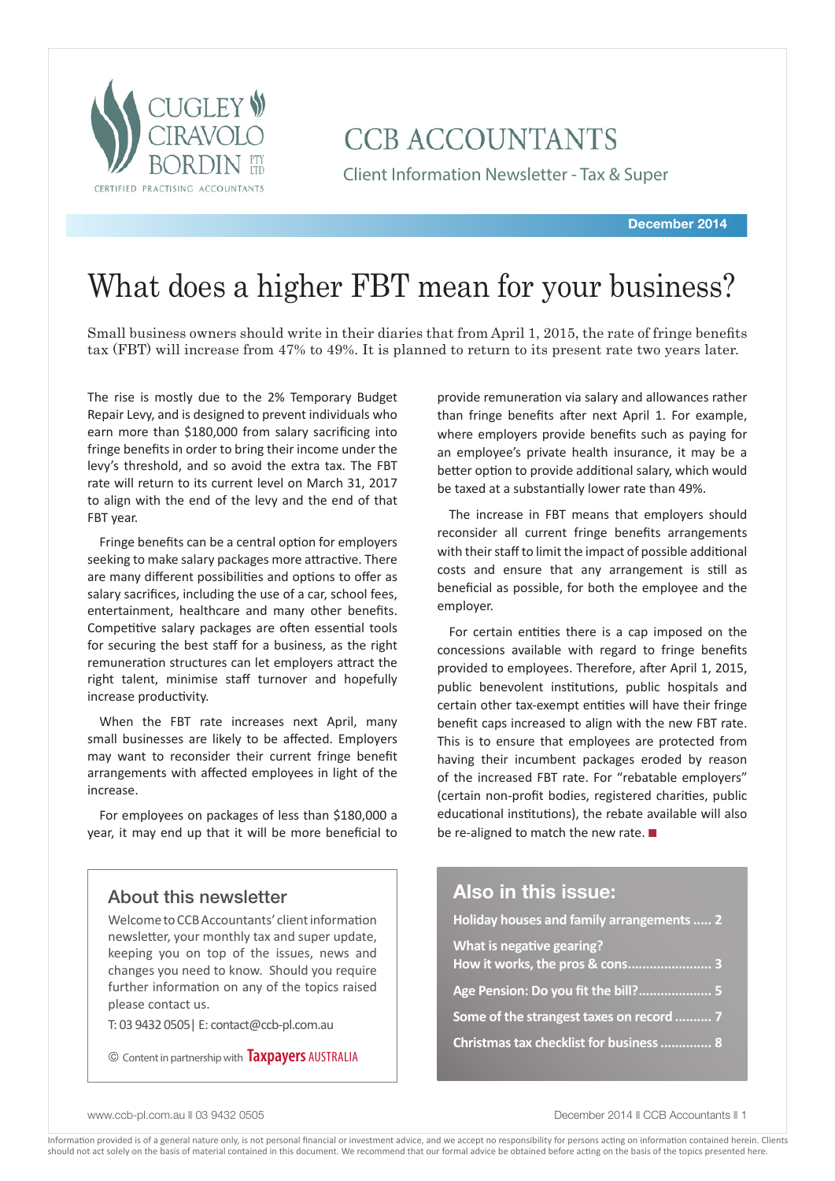

# **CCB ACCOUNTANTS**

Client Information Newsletter - Tax & Super

# What does a higher FBT mean for your business?

Small business owners should write in their diaries that from April 1, 2015, the rate of fringe benefits tax (FBT) will increase from 47% to 49%. It is planned to return to its present rate two years later.

The rise is mostly due to the 2% Temporary Budget Repair Levy, and is designed to prevent individuals who earn more than \$180,000 from salary sacrificing into fringe benefits in order to bring their income under the levy's threshold, and so avoid the extra tax. The FBT rate will return to its current level on March 31, 2017 to align with the end of the levy and the end of that FBT year.

Fringe benefits can be a central option for employers seeking to make salary packages more attractive. There are many different possibilities and options to offer as salary sacrifices, including the use of a car, school fees, entertainment, healthcare and many other benefits. Competitive salary packages are often essential tools for securing the best staff for a business, as the right remuneration structures can let employers attract the right talent, minimise staff turnover and hopefully increase productivity.

When the FBT rate increases next April, many small businesses are likely to be affected. Employers may want to reconsider their current fringe benefit arrangements with affected employees in light of the increase.

For employees on packages of less than \$180,000 a year, it may end up that it will be more beneficial to

### About this newsletter

Welcome to CCB Accountants' client information newsletter, your monthly tax and super update, keeping you on top of the issues, news and changes you need to know. Should you require further information on any of the topics raised please contact us.

T: 03 9432 0505| E: contact@ccb-pl.com.au

© Content in partnership with **Taxpayers** AUSTRALIA

provide remuneration via salary and allowances rather than fringe benefits after next April 1. For example, where employers provide benefits such as paying for an employee's private health insurance, it may be a better option to provide additional salary, which would be taxed at a substantially lower rate than 49%.

The increase in FBT means that employers should reconsider all current fringe benefits arrangements with their staff to limit the impact of possible additional costs and ensure that any arrangement is still as beneficial as possible, for both the employee and the employer.

For certain entities there is a cap imposed on the concessions available with regard to fringe benefits provided to employees. Therefore, after April 1, 2015, public benevolent institutions, public hospitals and certain other tax-exempt entities will have their fringe benefit caps increased to align with the new FBT rate. This is to ensure that employees are protected from having their incumbent packages eroded by reason of the increased FBT rate. For "rebatable employers" (certain non-profit bodies, registered charities, public educational institutions), the rebate available will also be re-aligned to match the new rate.  $\blacksquare$ 

### **Also in this issue:**

**Holiday houses and family arrangements..... 2 What is negative gearing? How it works, the pros & cons....................... 3 Age Pension: Do you fit the bill?.................... 5 Some of the strangest taxes on record .......... 7 Christmas tax checklist for business.............. 8**

www.ccb-pl.com.au 03 9432 0505 December 2014 n CCB Accountants n 1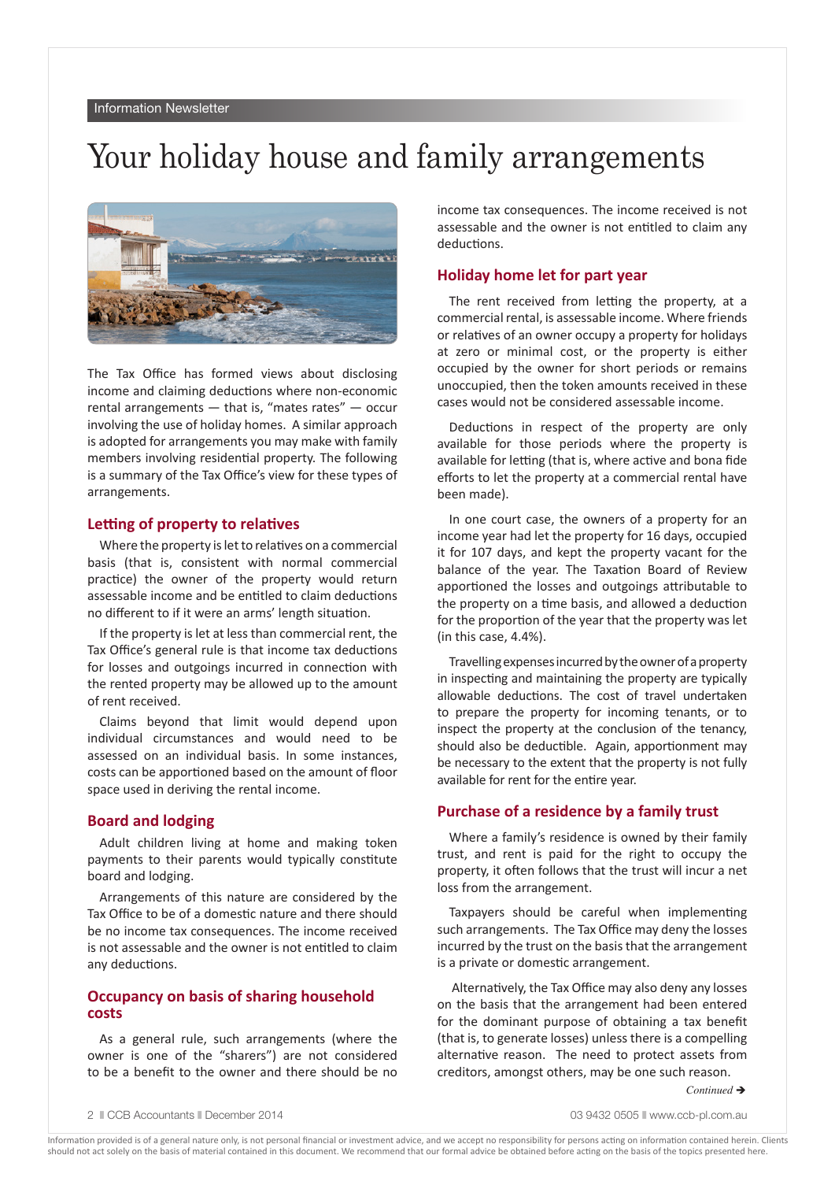# Your holiday house and family arrangements



The Tax Office has formed views about disclosing income and claiming deductions where non-economic rental arrangements — that is, "mates rates" — occur involving the use of holiday homes. A similar approach is adopted for arrangements you may make with family members involving residential property. The following is a summary of the Tax Office's view for these types of arrangements.

### **Letting of property to relatives**

Where the property is let to relatives on a commercial basis (that is, consistent with normal commercial practice) the owner of the property would return assessable income and be entitled to claim deductions no different to if it were an arms' length situation.

If the property is let at less than commercial rent, the Tax Office's general rule is that income tax deductions for losses and outgoings incurred in connection with the rented property may be allowed up to the amount of rent received.

Claims beyond that limit would depend upon individual circumstances and would need to be assessed on an individual basis. In some instances, costs can be apportioned based on the amount of floor space used in deriving the rental income.

### **Board and lodging**

Adult children living at home and making token payments to their parents would typically constitute board and lodging.

Arrangements of this nature are considered by the Tax Office to be of a domestic nature and there should be no income tax consequences. The income received is not assessable and the owner is not entitled to claim any deductions.

### **Occupancy on basis of sharing household costs**

As a general rule, such arrangements (where the owner is one of the "sharers") are not considered to be a benefit to the owner and there should be no

income tax consequences. The income received is not assessable and the owner is not entitled to claim any deductions.

### **Holiday home let for part year**

The rent received from letting the property, at a commercial rental, is assessable income. Where friends or relatives of an owner occupy a property for holidays at zero or minimal cost, or the property is either occupied by the owner for short periods or remains unoccupied, then the token amounts received in these cases would not be considered assessable income.

Deductions in respect of the property are only available for those periods where the property is available for letting (that is, where active and bona fide efforts to let the property at a commercial rental have been made).

In one court case, the owners of a property for an income year had let the property for 16 days, occupied it for 107 days, and kept the property vacant for the balance of the year. The Taxation Board of Review apportioned the losses and outgoings attributable to the property on a time basis, and allowed a deduction for the proportion of the year that the property was let (in this case, 4.4%).

Travelling expenses incurred by the owner of a property in inspecting and maintaining the property are typically allowable deductions. The cost of travel undertaken to prepare the property for incoming tenants, or to inspect the property at the conclusion of the tenancy, should also be deductible. Again, apportionment may be necessary to the extent that the property is not fully available for rent for the entire year.

### **Purchase of a residence by a family trust**

Where a family's residence is owned by their family trust, and rent is paid for the right to occupy the property, it often follows that the trust will incur a net loss from the arrangement.

Taxpayers should be careful when implementing such arrangements. The Tax Office may deny the losses incurred by the trust on the basis that the arrangement is a private or domestic arrangement.

 Alternatively, the Tax Office may also deny any losses on the basis that the arrangement had been entered for the dominant purpose of obtaining a tax benefit (that is, to generate losses) unless there is a compelling alternative reason. The need to protect assets from creditors, amongst others, may be one such reason.

*Continued* →

2  $\parallel$  CCB Accountants  $\parallel$  December 2014 03 9432 0505  $\parallel$  www.ccb-pl.com.au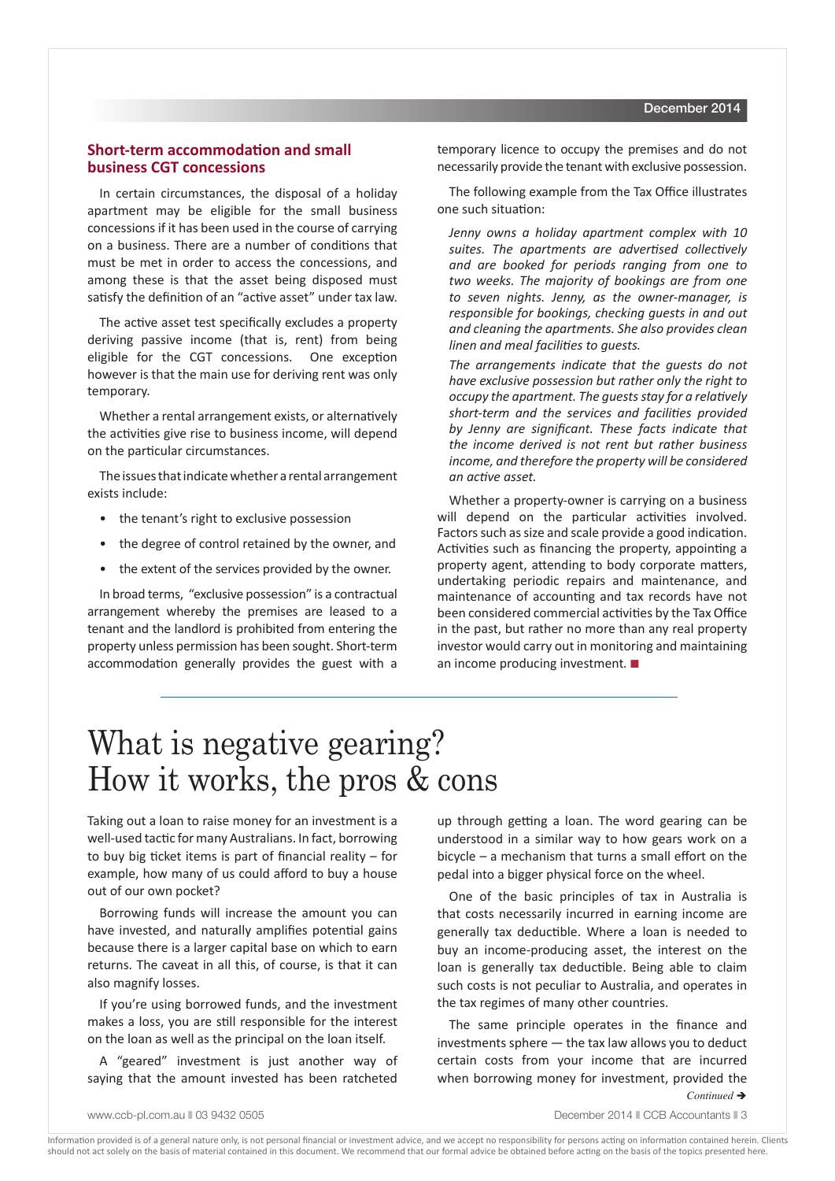### **Short-term accommodation and small business CGT concessions**

In certain circumstances, the disposal of a holiday apartment may be eligible for the small business concessions if it has been used in the course of carrying on a business. There are a number of conditions that must be met in order to access the concessions, and among these is that the asset being disposed must satisfy the definition of an "active asset" under tax law.

The active asset test specifically excludes a property deriving passive income (that is, rent) from being eligible for the CGT concessions. One exception however is that the main use for deriving rent was only temporary.

Whether a rental arrangement exists, or alternatively the activities give rise to business income, will depend on the particular circumstances.

The issues that indicate whether a rental arrangement exists include:

- the tenant's right to exclusive possession
- the degree of control retained by the owner, and
- the extent of the services provided by the owner.

In broad terms, "exclusive possession" is a contractual arrangement whereby the premises are leased to a tenant and the landlord is prohibited from entering the property unless permission has been sought. Short-term accommodation generally provides the guest with a

temporary licence to occupy the premises and do not necessarily provide the tenant with exclusive possession.

The following example from the Tax Office illustrates one such situation:

*Jenny owns a holiday apartment complex with 10 suites. The apartments are advertised collectively and are booked for periods ranging from one to two weeks. The majority of bookings are from one to seven nights. Jenny, as the owner-manager, is responsible for bookings, checking guests in and out and cleaning the apartments. She also provides clean linen and meal facilities to guests.* 

*The arrangements indicate that the guests do not have exclusive possession but rather only the right to occupy the apartment. The guests stay for a relatively short-term and the services and facilities provided by Jenny are significant. These facts indicate that the income derived is not rent but rather business income, and therefore the property will be considered an active asset.* 

Whether a property-owner is carrying on a business will depend on the particular activities involved. Factors such as size and scale provide a good indication. Activities such as financing the property, appointing a property agent, attending to body corporate matters, undertaking periodic repairs and maintenance, and maintenance of accounting and tax records have not been considered commercial activities by the Tax Office in the past, but rather no more than any real property investor would carry out in monitoring and maintaining an income producing investment*.* n

# What is negative gearing? How it works, the pros & cons

Taking out a loan to raise money for an investment is a well-used tactic for many Australians. In fact, borrowing to buy big ticket items is part of financial reality – for example, how many of us could afford to buy a house out of our own pocket?

Borrowing funds will increase the amount you can have invested, and naturally amplifies potential gains because there is a larger capital base on which to earn returns. The caveat in all this, of course, is that it can also magnify losses.

If you're using borrowed funds, and the investment makes a loss, you are still responsible for the interest on the loan as well as the principal on the loan itself.

A "geared" investment is just another way of saying that the amount invested has been ratcheted up through getting a loan. The word gearing can be understood in a similar way to how gears work on a bicycle – a mechanism that turns a small effort on the pedal into a bigger physical force on the wheel.

One of the basic principles of tax in Australia is that costs necessarily incurred in earning income are generally tax deductible. Where a loan is needed to buy an income-producing asset, the interest on the loan is generally tax deductible. Being able to claim such costs is not peculiar to Australia, and operates in the tax regimes of many other countries.

The same principle operates in the finance and investments sphere — the tax law allows you to deduct certain costs from your income that are incurred when borrowing money for investment, provided the

*Continued* →

www.ccb-pl.com.au || 03 9432 0505 || 03 0505 || 03 0505 || 03 0505 || 03 0505 || 03 0505 || 03 0505 || 03 0505 |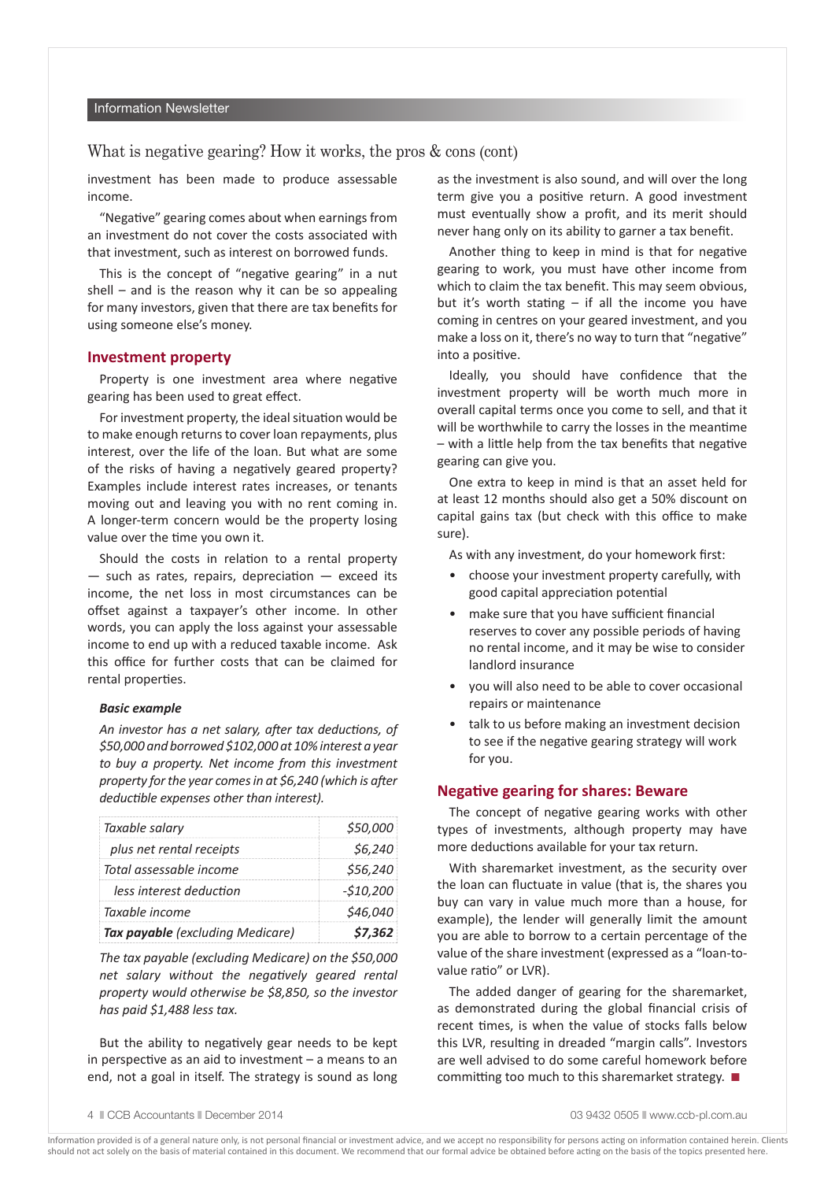#### Information Newsletter

### What is negative gearing? How it works, the pros  $\&$  cons (cont)

investment has been made to produce assessable income.

"Negative" gearing comes about when earnings from an investment do not cover the costs associated with that investment, such as interest on borrowed funds.

This is the concept of "negative gearing" in a nut shell – and is the reason why it can be so appealing for many investors, given that there are tax benefits for using someone else's money.

#### **Investment property**

Property is one investment area where negative gearing has been used to great effect.

For investment property, the ideal situation would be to make enough returns to cover loan repayments, plus interest, over the life of the loan. But what are some of the risks of having a negatively geared property? Examples include interest rates increases, or tenants moving out and leaving you with no rent coming in. A longer-term concern would be the property losing value over the time you own it.

Should the costs in relation to a rental property  $-$  such as rates, repairs, depreciation  $-$  exceed its income, the net loss in most circumstances can be offset against a taxpayer's other income. In other words, you can apply the loss against your assessable income to end up with a reduced taxable income. Ask this office for further costs that can be claimed for rental properties.

#### *Basic example*

*An investor has a net salary, after tax deductions, of \$50,000 and borrowed \$102,000 at 10% interest a year to buy a property. Net income from this investment property for the year comes in at \$6,240 (which is after deductible expenses other than interest).*

| Taxable salary                   | \$50,000       |
|----------------------------------|----------------|
| plus net rental receipts         | S6.240         |
| Total assessable income          | \$56.240       |
| less interest deduction          | -\$10,200      |
| Taxable income                   | <i>S46.040</i> |
| Tax payable (excluding Medicare) | 57. 362        |

*The tax payable (excluding Medicare) on the \$50,000 net salary without the negatively geared rental property would otherwise be \$8,850, so the investor has paid \$1,488 less tax.*

But the ability to negatively gear needs to be kept in perspective as an aid to investment – a means to an end, not a goal in itself. The strategy is sound as long as the investment is also sound, and will over the long term give you a positive return. A good investment must eventually show a profit, and its merit should never hang only on its ability to garner a tax benefit.

Another thing to keep in mind is that for negative gearing to work, you must have other income from which to claim the tax benefit. This may seem obvious, but it's worth stating  $-$  if all the income you have coming in centres on your geared investment, and you make a loss on it, there's no way to turn that "negative" into a positive.

Ideally, you should have confidence that the investment property will be worth much more in overall capital terms once you come to sell, and that it will be worthwhile to carry the losses in the meantime – with a little help from the tax benefits that negative gearing can give you.

One extra to keep in mind is that an asset held for at least 12 months should also get a 50% discount on capital gains tax (but check with this office to make sure).

As with any investment, do your homework first:

- choose your investment property carefully, with good capital appreciation potential
- make sure that you have sufficient financial reserves to cover any possible periods of having no rental income, and it may be wise to consider landlord insurance
- you will also need to be able to cover occasional repairs or maintenance
- talk to us before making an investment decision to see if the negative gearing strategy will work for you.

### **Negative gearing for shares: Beware**

The concept of negative gearing works with other types of investments, although property may have more deductions available for your tax return.

With sharemarket investment, as the security over the loan can fluctuate in value (that is, the shares you buy can vary in value much more than a house, for example), the lender will generally limit the amount you are able to borrow to a certain percentage of the value of the share investment (expressed as a "loan-tovalue ratio" or LVR).

The added danger of gearing for the sharemarket, as demonstrated during the global financial crisis of recent times, is when the value of stocks falls below this LVR, resulting in dreaded "margin calls". Investors are well advised to do some careful homework before committing too much to this sharemarket strategy.  $\blacksquare$ 

4  $\degree$  CCB Accountants  $\degree$  December 2014 03 9432 0505 n www.ccb-pl.com.au 03 9432 0505 n www.ccb-pl.com.au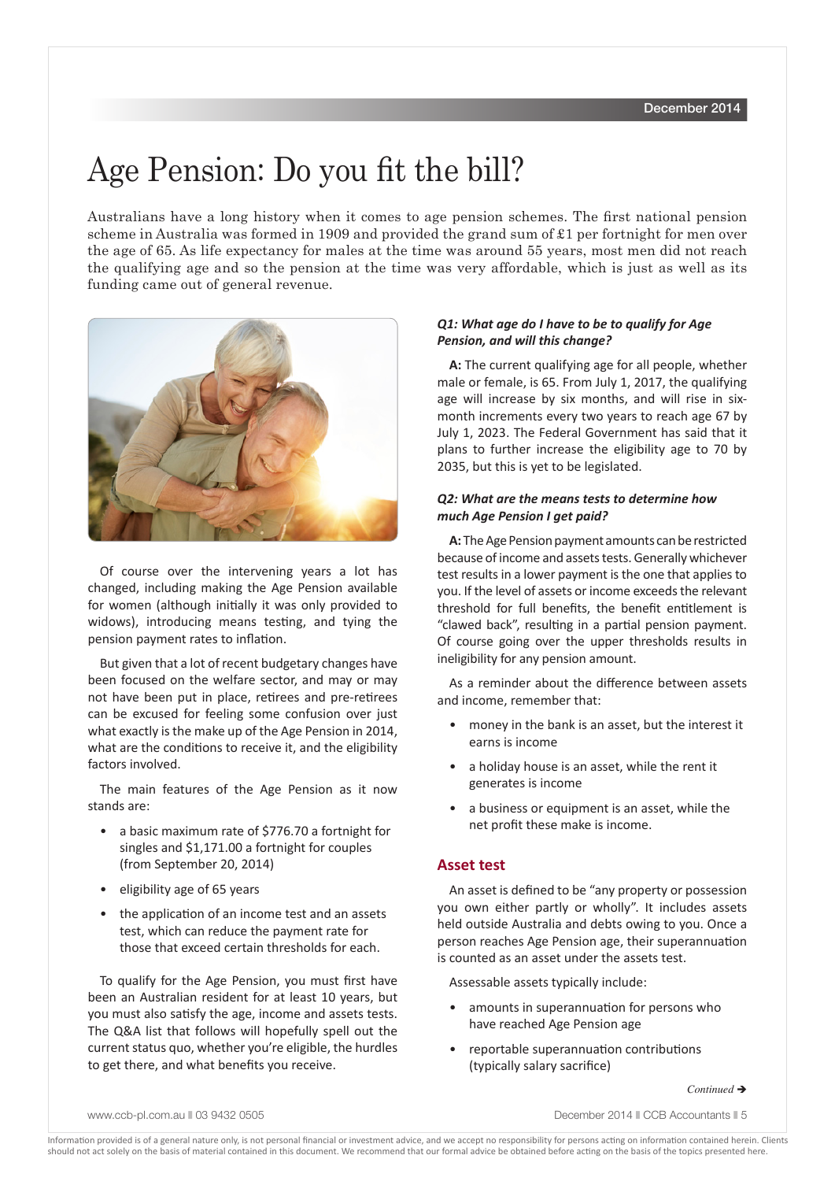# Age Pension: Do you fit the bill?

Australians have a long history when it comes to age pension schemes. The first national pension scheme in Australia was formed in 1909 and provided the grand sum of £1 per fortnight for men over the age of 65. As life expectancy for males at the time was around 55 years, most men did not reach the qualifying age and so the pension at the time was very affordable, which is just as well as its funding came out of general revenue.



Of course over the intervening years a lot has changed, including making the Age Pension available for women (although initially it was only provided to widows), introducing means testing, and tying the pension payment rates to inflation.

But given that a lot of recent budgetary changes have been focused on the welfare sector, and may or may not have been put in place, retirees and pre-retirees can be excused for feeling some confusion over just what exactly is the make up of the Age Pension in 2014, what are the conditions to receive it, and the eligibility factors involved.

The main features of the Age Pension as it now stands are:

- a basic maximum rate of \$776.70 a fortnight for singles and \$1,171.00 a fortnight for couples (from September 20, 2014)
- eligibility age of 65 years
- the application of an income test and an assets test, which can reduce the payment rate for those that exceed certain thresholds for each.

To qualify for the Age Pension, you must first have been an Australian resident for at least 10 years, but you must also satisfy the age, income and assets tests. The Q&A list that follows will hopefully spell out the current status quo, whether you're eligible, the hurdles to get there, and what benefits you receive.

### *Q1: What age do I have to be to qualify for Age Pension, and will this change?*

**A:** The current qualifying age for all people, whether male or female, is 65. From July 1, 2017, the qualifying age will increase by six months, and will rise in sixmonth increments every two years to reach age 67 by July 1, 2023. The Federal Government has said that it plans to further increase the eligibility age to 70 by 2035, but this is yet to be legislated.

### *Q2: What are the means tests to determine how much Age Pension I get paid?*

**A:** The Age Pension payment amounts can be restricted because of income and assets tests. Generally whichever test results in a lower payment is the one that applies to you. If the level of assets or income exceeds the relevant threshold for full benefits, the benefit entitlement is "clawed back", resulting in a partial pension payment. Of course going over the upper thresholds results in ineligibility for any pension amount.

As a reminder about the difference between assets and income, remember that:

- money in the bank is an asset, but the interest it earns is income
- a holiday house is an asset, while the rent it generates is income
- a business or equipment is an asset, while the net profit these make is income.

### **Asset test**

An asset is defined to be "any property or possession you own either partly or wholly". It includes assets held outside Australia and debts owing to you. Once a person reaches Age Pension age, their superannuation is counted as an asset under the assets test.

Assessable assets typically include:

- amounts in superannuation for persons who have reached Age Pension age
- reportable superannuation contributions (typically salary sacrifice)

*Continued* è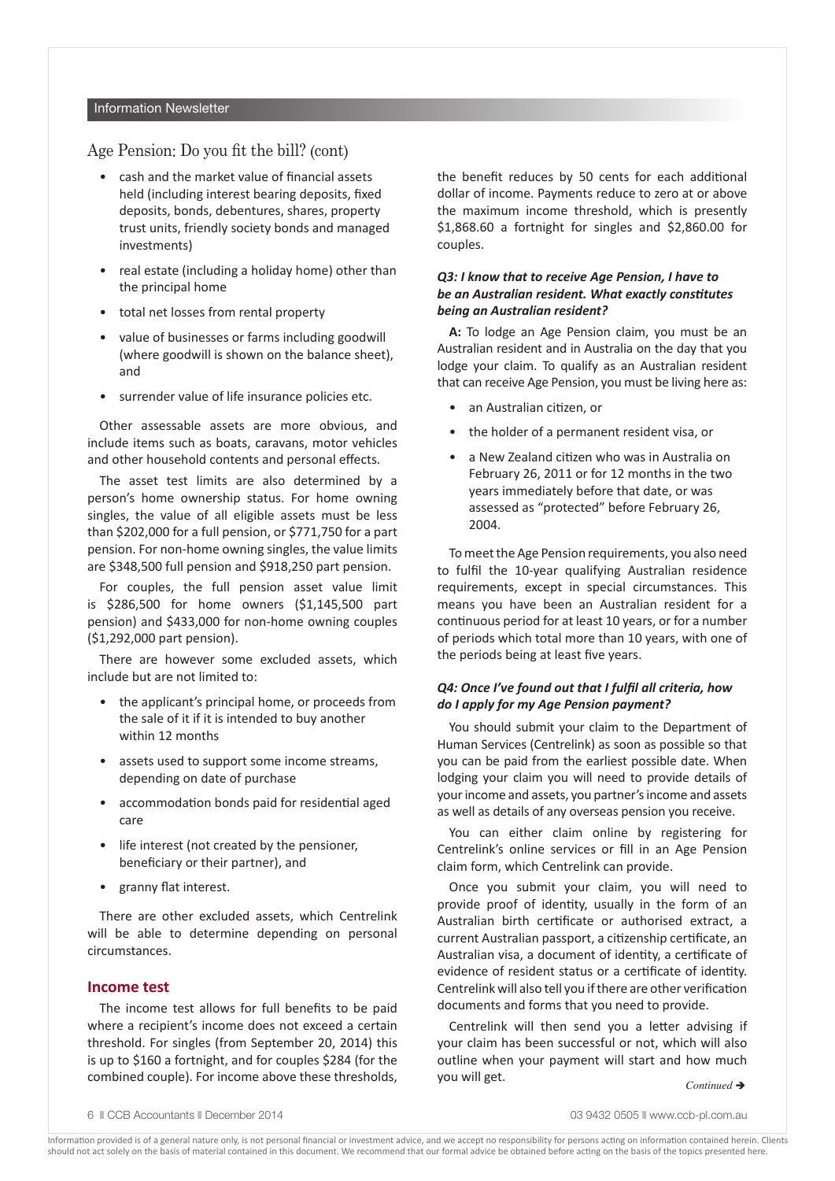#### Information Newsletter

### Age Pension: Do you fit the bill? (cont)

- cash and the market value of financial assets held (including interest bearing deposits, fixed deposits, bonds, debentures, shares, property trust units, friendly society bonds and managed investments)
- real estate (including a holiday home) other than the principal home
- total net losses from rental property
- value of businesses or farms including goodwill (where goodwill is shown on the balance sheet), and
- surrender value of life insurance policies etc.

Other assessable assets are more obvious, and include items such as boats, caravans, motor vehicles and other household contents and personal effects.

The asset test limits are also determined by a person's home ownership status. For home owning singles, the value of all eligible assets must be less than \$202,000 for a full pension, or \$771,750 for a part pension. For non-home owning singles, the value limits are \$348,500 full pension and \$918,250 part pension.

For couples, the full pension asset value limit is \$286,500 for home owners (\$1,145,500 part pension) and \$433,000 for non-home owning couples (\$1,292,000 part pension).

There are however some excluded assets, which include but are not limited to:

- the applicant's principal home, or proceeds from the sale of it if it is intended to buy another within 12 months
- assets used to support some income streams, depending on date of purchase
- accommodation bonds paid for residential aged care
- life interest (not created by the pensioner, beneficiary or their partner), and
- granny flat interest.

There are other excluded assets, which Centrelink will be able to determine depending on personal circumstances.

### **Income test**

The income test allows for full benefits to be paid where a recipient's income does not exceed a certain threshold. For singles (from September 20, 2014) this is up to \$160 a fortnight, and for couples \$284 (for the combined couple). For income above these thresholds, the benefit reduces by 50 cents for each additional dollar of income. Payments reduce to zero at or above the maximum income threshold, which is presently \$1,868.60 a fortnight for singles and \$2,860.00 for couples.

### *Q3: I know that to receive Age Pension, I have to be an Australian resident. What exactly constitutes being an Australian resident?*

**A:** To lodge an Age Pension claim, you must be an Australian resident and in Australia on the day that you lodge your claim. To qualify as an Australian resident that can receive Age Pension, you must be living here as:

- an Australian citizen, or
- the holder of a permanent resident visa, or
- a New Zealand citizen who was in Australia on February 26, 2011 or for 12 months in the two years immediately before that date, or was assessed as "protected" before February 26, 2004.

To meet the Age Pension requirements, you also need to fulfil the 10-year qualifying Australian residence requirements, except in special circumstances. This means you have been an Australian resident for a continuous period for at least 10 years, or for a number of periods which total more than 10 years, with one of the periods being at least five years.

### *Q4: Once I've found out that I fulfil all criteria, how do I apply for my Age Pension payment?*

You should submit your claim to the Department of Human Services (Centrelink) as soon as possible so that you can be paid from the earliest possible date. When lodging your claim you will need to provide details of your income and assets, you partner's income and assets as well as details of any overseas pension you receive.

You can either claim online by registering for Centrelink's online services or fill in an Age Pension claim form, which Centrelink can provide.

Once you submit your claim, you will need to provide proof of identity, usually in the form of an Australian birth certificate or authorised extract, a current Australian passport, a citizenship certificate, an Australian visa, a document of identity, a certificate of evidence of resident status or a certificate of identity. Centrelink will also tell you if there are other verification documents and forms that you need to provide.

Centrelink will then send you a letter advising if your claim has been successful or not, which will also outline when your payment will start and how much you will get. *Continued* <sup>è</sup>

6 n CCB Accountants n December 2014 03 9432 0505 n www.ccb-pl.com.au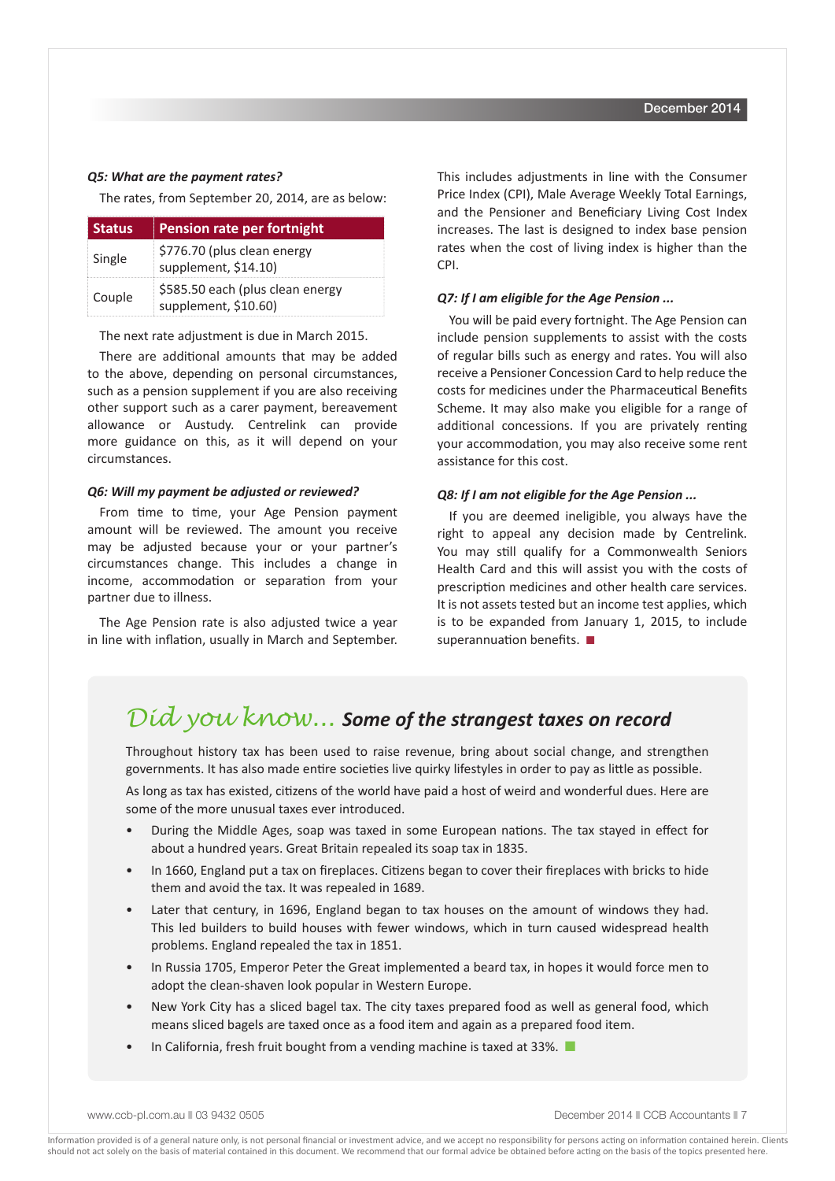#### *Q5: What are the payment rates?*

The rates, from September 20, 2014, are as below:

| <b>Status</b> | Pension rate per fortnight                               |
|---------------|----------------------------------------------------------|
| Single        | \$776.70 (plus clean energy<br>supplement, \$14.10)      |
| Couple        | \$585.50 each (plus clean energy<br>supplement, \$10.60) |

The next rate adjustment is due in March 2015.

There are additional amounts that may be added to the above, depending on personal circumstances, such as a pension supplement if you are also receiving other support such as a carer payment, bereavement allowance or Austudy. Centrelink can provide more guidance on this, as it will depend on your circumstances.

### *Q6: Will my payment be adjusted or reviewed?*

From time to time, your Age Pension payment amount will be reviewed. The amount you receive may be adjusted because your or your partner's circumstances change. This includes a change in income, accommodation or separation from your partner due to illness.

The Age Pension rate is also adjusted twice a year in line with inflation, usually in March and September. This includes adjustments in line with the Consumer Price Index (CPI), Male Average Weekly Total Earnings, and the Pensioner and Beneficiary Living Cost Index increases. The last is designed to index base pension rates when the cost of living index is higher than the CPI.

### *Q7: If I am eligible for the Age Pension ...*

You will be paid every fortnight. The Age Pension can include pension supplements to assist with the costs of regular bills such as energy and rates. You will also receive a Pensioner Concession Card to help reduce the costs for medicines under the Pharmaceutical Benefits Scheme. It may also make you eligible for a range of additional concessions. If you are privately renting your accommodation, you may also receive some rent assistance for this cost.

#### *Q8: If I am not eligible for the Age Pension ...*

If you are deemed ineligible, you always have the right to appeal any decision made by Centrelink. You may still qualify for a Commonwealth Seniors Health Card and this will assist you with the costs of prescription medicines and other health care services. It is not assets tested but an income test applies, which is to be expanded from January 1, 2015, to include superannuation benefits.  $\blacksquare$ 

### *Did you know... Some of the strangest taxes on record*

Throughout history tax has been used to raise revenue, bring about social change, and strengthen governments. It has also made entire societies live quirky lifestyles in order to pay as little as possible.

As long as tax has existed, citizens of the world have paid a host of weird and wonderful dues. Here are some of the more unusual taxes ever introduced.

- During the Middle Ages, soap was taxed in some European nations. The tax stayed in effect for about a hundred years. Great Britain repealed its soap tax in 1835.
- In 1660, England put a tax on fireplaces. Citizens began to cover their fireplaces with bricks to hide them and avoid the tax. It was repealed in 1689.
- Later that century, in 1696, England began to tax houses on the amount of windows they had. This led builders to build houses with fewer windows, which in turn caused widespread health problems. England repealed the tax in 1851.
- In Russia 1705, Emperor Peter the Great implemented a beard tax, in hopes it would force men to adopt the clean-shaven look popular in Western Europe.
- New York City has a sliced bagel tax. The city taxes prepared food as well as general food, which means sliced bagels are taxed once as a food item and again as a prepared food item.
- In California, fresh fruit bought from a vending machine is taxed at 33%.

www.ccb-pl.com.au || 03 9432 0505 || 03 0605 || 03 0605 || 03 0605 || 03 0605 || 03 0605 || 0505 || 0505 || 060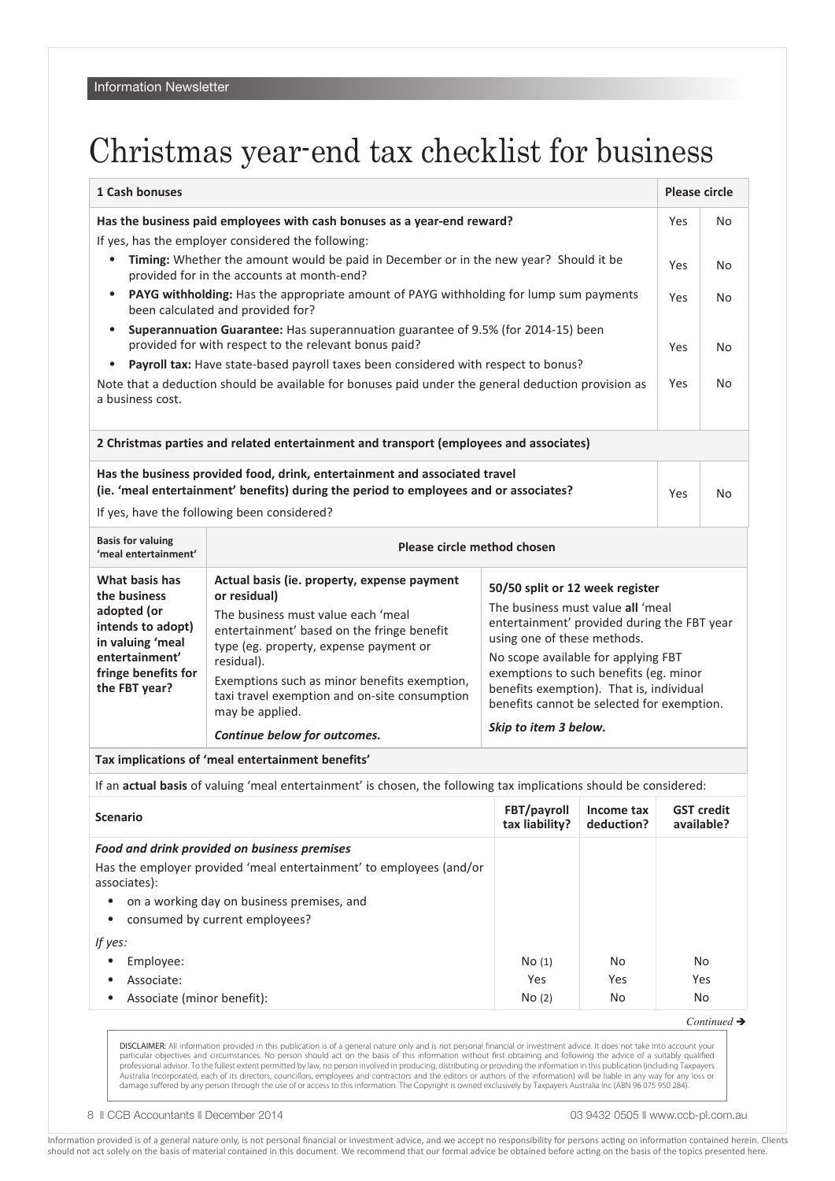# Christmas year-end tax checklist for business

| 1 Cash bonuses                                                                                                                                                                                                                                                                                                                                                                                                                                                                                                                                                                                                                                                                                                                                                                                                         |                                                                                                                                                                                                                                                                                                                                                             |                                                                                                                                                                                                                                                                                                                                                        | <b>Please circle</b>                                |    |                            |  |  |  |
|------------------------------------------------------------------------------------------------------------------------------------------------------------------------------------------------------------------------------------------------------------------------------------------------------------------------------------------------------------------------------------------------------------------------------------------------------------------------------------------------------------------------------------------------------------------------------------------------------------------------------------------------------------------------------------------------------------------------------------------------------------------------------------------------------------------------|-------------------------------------------------------------------------------------------------------------------------------------------------------------------------------------------------------------------------------------------------------------------------------------------------------------------------------------------------------------|--------------------------------------------------------------------------------------------------------------------------------------------------------------------------------------------------------------------------------------------------------------------------------------------------------------------------------------------------------|-----------------------------------------------------|----|----------------------------|--|--|--|
| Has the business paid employees with cash bonuses as a year-end reward?<br>If yes, has the employer considered the following:<br>Timing: Whether the amount would be paid in December or in the new year? Should it be<br>$\bullet$<br>provided for in the accounts at month-end?<br>PAYG withholding: Has the appropriate amount of PAYG withholding for lump sum payments<br>$\bullet$<br>been calculated and provided for?<br>Superannuation Guarantee: Has superannuation guarantee of 9.5% (for 2014-15) been<br>$\bullet$<br>provided for with respect to the relevant bonus paid?<br>Payroll tax: Have state-based payroll taxes been considered with respect to bonus?<br>$\bullet$<br>Note that a deduction should be available for bonuses paid under the general deduction provision as<br>a business cost. |                                                                                                                                                                                                                                                                                                                                                             |                                                                                                                                                                                                                                                                                                                                                        |                                                     |    | No<br>No<br>No<br>No<br>No |  |  |  |
|                                                                                                                                                                                                                                                                                                                                                                                                                                                                                                                                                                                                                                                                                                                                                                                                                        | 2 Christmas parties and related entertainment and transport (employees and associates)                                                                                                                                                                                                                                                                      |                                                                                                                                                                                                                                                                                                                                                        |                                                     |    |                            |  |  |  |
| Has the business provided food, drink, entertainment and associated travel<br>(ie. 'meal entertainment' benefits) during the period to employees and or associates?<br>If yes, have the following been considered?                                                                                                                                                                                                                                                                                                                                                                                                                                                                                                                                                                                                     |                                                                                                                                                                                                                                                                                                                                                             |                                                                                                                                                                                                                                                                                                                                                        | Yes                                                 | No |                            |  |  |  |
| <b>Basis for valuing</b><br>'meal entertainment'                                                                                                                                                                                                                                                                                                                                                                                                                                                                                                                                                                                                                                                                                                                                                                       | Please circle method chosen                                                                                                                                                                                                                                                                                                                                 |                                                                                                                                                                                                                                                                                                                                                        |                                                     |    |                            |  |  |  |
| What basis has<br>the business<br>adopted (or<br>intends to adopt)<br>in valuing 'meal<br>entertainment'<br>fringe benefits for<br>the FBT year?                                                                                                                                                                                                                                                                                                                                                                                                                                                                                                                                                                                                                                                                       | Actual basis (ie. property, expense payment<br>or residual)<br>The business must value each 'meal<br>entertainment' based on the fringe benefit<br>type (eg. property, expense payment or<br>residual).<br>Exemptions such as minor benefits exemption,<br>taxi travel exemption and on-site consumption<br>may be applied.<br>Continue below for outcomes. | 50/50 split or 12 week register<br>The business must value all 'meal<br>entertainment' provided during the FBT year<br>using one of these methods.<br>No scope available for applying FBT<br>exemptions to such benefits (eg. minor<br>benefits exemption). That is, individual<br>benefits cannot be selected for exemption.<br>Skip to item 3 below. |                                                     |    |                            |  |  |  |
|                                                                                                                                                                                                                                                                                                                                                                                                                                                                                                                                                                                                                                                                                                                                                                                                                        | Tax implications of 'meal entertainment benefits'                                                                                                                                                                                                                                                                                                           |                                                                                                                                                                                                                                                                                                                                                        |                                                     |    |                            |  |  |  |
| If an actual basis of valuing 'meal entertainment' is chosen, the following tax implications should be considered:                                                                                                                                                                                                                                                                                                                                                                                                                                                                                                                                                                                                                                                                                                     |                                                                                                                                                                                                                                                                                                                                                             |                                                                                                                                                                                                                                                                                                                                                        |                                                     |    |                            |  |  |  |
| <b>Scenario</b>                                                                                                                                                                                                                                                                                                                                                                                                                                                                                                                                                                                                                                                                                                                                                                                                        |                                                                                                                                                                                                                                                                                                                                                             | tax liability?                                                                                                                                                                                                                                                                                                                                         | FBT/payroll   Income tax   GST credit<br>deduction? |    | available?                 |  |  |  |
| Food and drink provided on business premises<br>Has the employer provided 'meal entertainment' to employees (and/or<br>associates):<br>on a working day on business premises, and<br>$\bullet$<br>consumed by current employees?<br>٠<br>If yes:<br>Employee:<br>$\bullet$<br>Associate:<br>٠                                                                                                                                                                                                                                                                                                                                                                                                                                                                                                                          |                                                                                                                                                                                                                                                                                                                                                             | No(1)<br>Yes                                                                                                                                                                                                                                                                                                                                           | No<br>Yes                                           |    | No<br>Yes                  |  |  |  |
| Associate (minor benefit):<br>$\bullet$                                                                                                                                                                                                                                                                                                                                                                                                                                                                                                                                                                                                                                                                                                                                                                                |                                                                                                                                                                                                                                                                                                                                                             | No(2)                                                                                                                                                                                                                                                                                                                                                  | No                                                  |    | No                         |  |  |  |

*Continued* è

**DISCLAIMER:** All information provided in this publication is of a general nature only and is not personal financial or investment advice. It does not take into account your particular objectives and circumstances. No pers

8  $\degree$  CCB Accountants  $\degree$  December 2014 03 9432 0505 n www.ccb-pl.com.au 03 9432 0505 n www.ccb-pl.com.au